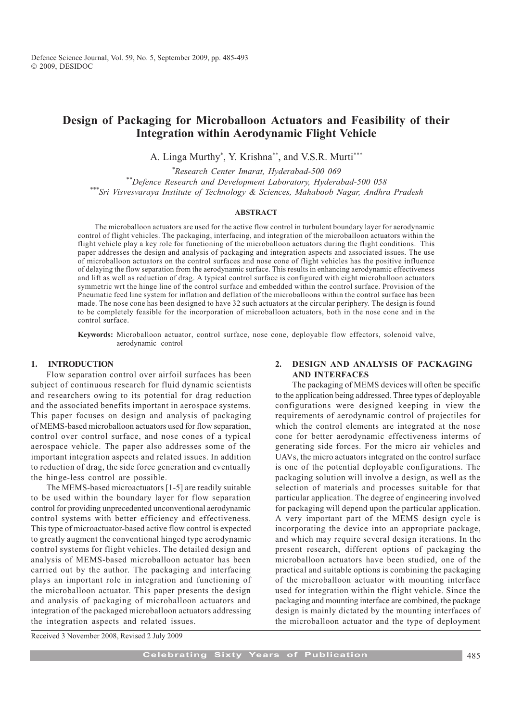# Design of Packaging for Microballoon Actuators and Feasibility of their Integration within Aerodynamic Flight Vehicle

A. Linga Murthy\* , Y. Krishna\*\*, and V.S.R. Murti\*\*\*

\* Research Center Imarat, Hyderabad-500 069 \*\*Defence Research and Development Laboratory, Hyderabad-500 058 \*\*\*Sri Visvesvaraya Institute of Technology & Sciences, Mahaboob Nagar, Andhra Pradesh

## ABSTRACT

The microballoon actuators are used for the active flow control in turbulent boundary layer for aerodynamic control of flight vehicles. The packaging, interfacing, and integration of the microballoon actuators within the flight vehicle play a key role for functioning of the microballoon actuators during the flight conditions. This paper addresses the design and analysis of packaging and integration aspects and associated issues. The use of microballoon actuators on the control surfaces and nose cone of flight vehicles has the positive influence of delaying the flow separation from the aerodynamic surface. This results in enhancing aerodynamic effectiveness and lift as well as reduction of drag. A typical control surface is configured with eight microballoon actuators symmetric wrt the hinge line of the control surface and embedded within the control surface. Provision of the Pneumatic feed line system for inflation and deflation of the microballoons within the control surface has been made. The nose cone has been designed to have 32 such actuators at the circular periphery. The design is found to be completely feasible for the incorporation of microballoon actuators, both in the nose cone and in the control surface.

Keywords: Microballoon actuator, control surface, nose cone, deployable flow effectors, solenoid valve, aerodynamic control

#### 1. INTRODUCTION

Flow separation control over airfoil surfaces has been subject of continuous research for fluid dynamic scientists and researchers owing to its potential for drag reduction and the associated benefits important in aerospace systems. This paper focuses on design and analysis of packaging of MEMS-based microballoon actuators used for flow separation, control over control surface, and nose cones of a typical aerospace vehicle. The paper also addresses some of the important integration aspects and related issues. In addition to reduction of drag, the side force generation and eventually the hinge-less control are possible.

The MEMS-based microactuators [1-5] are readily suitable to be used within the boundary layer for flow separation control for providing unprecedented unconventional aerodynamic control systems with better efficiency and effectiveness. This type of microactuator-based active flow control is expected to greatly augment the conventional hinged type aerodynamic control systems for flight vehicles. The detailed design and analysis of MEMS-based microballoon actuator has been carried out by the author. The packaging and interfacing plays an important role in integration and functioning of the microballoon actuator. This paper presents the design and analysis of packaging of microballoon actuators and integration of the packaged microballoon actuators addressing the integration aspects and related issues.

## 2. DESIGN AND ANALYSIS OF PACKAGING AND INTERFACES

The packaging of MEMS devices will often be specific to the application being addressed. Three types of deployable configurations were designed keeping in view the requirements of aerodynamic control of projectiles for which the control elements are integrated at the nose cone for better aerodynamic effectiveness interms of generating side forces. For the micro air vehicles and UAVs, the micro actuators integrated on the control surface is one of the potential deployable configurations. The packaging solution will involve a design, as well as the selection of materials and processes suitable for that particular application. The degree of engineering involved for packaging will depend upon the particular application. A very important part of the MEMS design cycle is incorporating the device into an appropriate package, and which may require several design iterations. In the present research, different options of packaging the microballoon actuators have been studied, one of the practical and suitable options is combining the packaging of the microballoon actuator with mounting interface used for integration within the flight vehicle. Since the packaging and mounting interface are combined, the package design is mainly dictated by the mounting interfaces of the microballoon actuator and the type of deployment

Received 3 November 2008, Revised 2 July 2009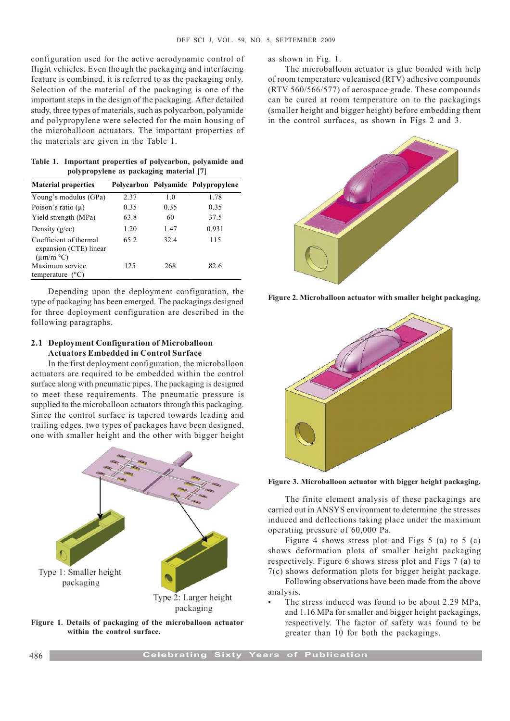configuration used for the active aerodynamic control of flight vehicles. Even though the packaging and interfacing feature is combined, it is referred to as the packaging only. Selection of the material of the packaging is one of the important steps in the design of the packaging. After detailed study, three types of materials, such as polycarbon, polyamide and polypropylene were selected for the main housing of the microballoon actuators. The important properties of the materials are given in the Table 1.

| Table 1. Important properties of polycarbon, polyamide and |  |  |
|------------------------------------------------------------|--|--|
| polypropylene as packaging material [7]                    |  |  |

| <b>Material properties</b>                                               |      |      | Polycarbon Polyamide Polypropylene |
|--------------------------------------------------------------------------|------|------|------------------------------------|
| Young's modulus (GPa)                                                    | 2.37 | 1.0  | 1.78                               |
| Poison's ratio $(\mu)$                                                   | 0.35 | 0.35 | 0.35                               |
| Yield strength (MPa)                                                     | 63.8 | 60   | 37.5                               |
| Density $(g/cc)$                                                         | 1.20 | 1.47 | 0.931                              |
| Coefficient of thermal<br>expansion (CTE) linear<br>$(\mu m/m^{\circ}C)$ | 65.2 | 32.4 | 115                                |
| Maximum service<br>temperature                                           | 125  | 268  | 82.6                               |

Depending upon the deployment configuration, the type of packaging has been emerged. The packagings designed for three deployment configuration are described in the following paragraphs.

## 2.1 Deployment Configuration of Microballoon Actuators Embedded in Control Surface

In the first deployment configuration, the microballoon actuators are required to be embedded within the control surface along with pneumatic pipes. The packaging is designed to meet these requirements. The pneumatic pressure is supplied to the microballoon actuators through this packaging. Since the control surface is tapered towards leading and trailing edges, two types of packages have been designed, one with smaller height and the other with bigger height





as shown in Fig. 1.

The microballoon actuator is glue bonded with help of room temperature vulcanised (RTV) adhesive compounds (RTV 560/566/577) of aerospace grade. These compounds can be cured at room temperature on to the packagings (smaller height and bigger height) before embedding them in the control surfaces, as shown in Figs 2 and 3.



Figure 2. Microballoon actuator with smaller height packaging.



Figure 3. Microballoon actuator with bigger height packaging.

The finite element analysis of these packagings are carried out in ANSYS environment to determine the stresses induced and deflections taking place under the maximum operating pressure of 60,000 Pa.

Figure 4 shows stress plot and Figs 5 (a) to 5 (c) shows deformation plots of smaller height packaging respectively. Figure 6 shows stress plot and Figs 7 (a) to 7(c) shows deformation plots for bigger height package.

Following observations have been made from the above analysis.

 The stress induced was found to be about 2.29 MPa, and 1.16 MPa for smaller and bigger height packagings, respectively. The factor of safety was found to be greater than 10 for both the packagings.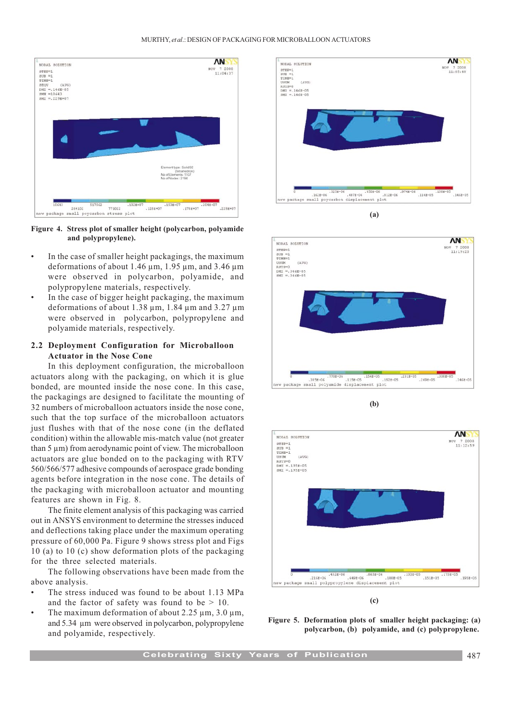

Figure 4. Stress plot of smaller height (polycarbon, polyamide and polypropylene).

- In the case of smaller height packagings, the maximum deformations of about 1.46 µm, 1.95 µm, and 3.46 µm were observed in polycarbon, polyamide, and polypropylene materials, respectively.
- In the case of bigger height packaging, the maximum deformations of about 1.38 µm, 1.84 µm and 3.27 µm were observed in polycarbon, polypropylene and polyamide materials, respectively.

## 2.2 Deployment Configuration for Microballoon Actuator in the Nose Cone

In this deployment configuration, the microballoon actuators along with the packaging, on which it is glue bonded, are mounted inside the nose cone. In this case, the packagings are designed to facilitate the mounting of 32 numbers of microballoon actuators inside the nose cone, such that the top surface of the microballoon actuators just flushes with that of the nose cone (in the deflated condition) within the allowable mis-match value (not greater than 5 µm) from aerodynamic point of view. The microballoon actuators are glue bonded on to the packaging with RTV 560/566/577 adhesive compounds of aerospace grade bonding agents before integration in the nose cone. The details of the packaging with microballoon actuator and mounting features are shown in Fig. 8.

The finite element analysis of this packaging was carried out in ANSYS environment to determine the stresses induced and deflections taking place under the maximum operating pressure of 60,000 Pa. Figure 9 shows stress plot and Figs 10 (a) to 10 (c) show deformation plots of the packaging for the three selected materials.

The following observations have been made from the above analysis.

- The stress induced was found to be about 1.13 MPa and the factor of safety was found to be  $> 10$ .
- The maximum deformation of about  $2.25 \mu m$ ,  $3.0 \mu m$ , and 5.34 µm were observed in polycarbon, polypropylene and polyamide, respectively.











(c)

Figure 5. Deformation plots of smaller height packaging: (a) polycarbon, (b) polyamide, and (c) polypropylene.

Celebrating Sixty Years of Publication **187**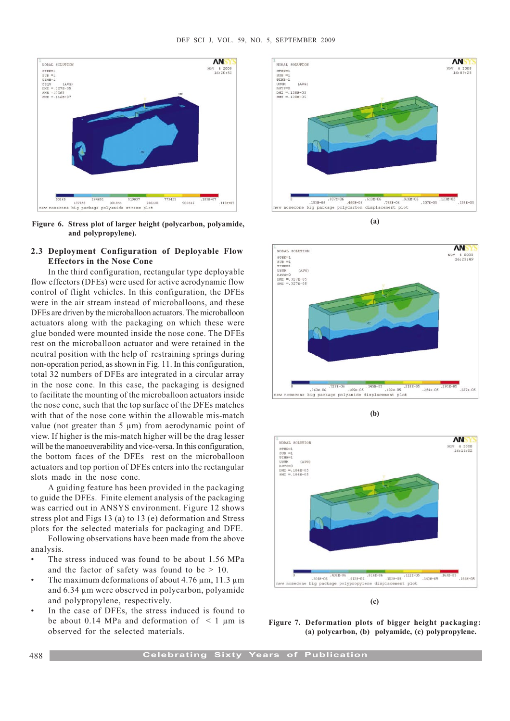

Figure 6. Stress plot of larger height (polycarbon, polyamide, and polypropylene).

## 2.3 Deployment Configuration of Deployable Flow Effectors in the Nose Cone

In the third configuration, rectangular type deployable flow effectors (DFEs) were used for active aerodynamic flow control of flight vehicles. In this configuration, the DFEs were in the air stream instead of microballoons, and these DFEs are driven by the microballoon actuators. The microballoon actuators along with the packaging on which these were glue bonded were mounted inside the nose cone. The DFEs rest on the microballoon actuator and were retained in the neutral position with the help of restraining springs during non-operation period, as shown in Fig. 11. In this configuration, total 32 numbers of DFEs are integrated in a circular array in the nose cone. In this case, the packaging is designed to facilitate the mounting of the microballoon actuators inside the nose cone, such that the top surface of the DFEs matches with that of the nose cone within the allowable mis-match value (not greater than 5  $\mu$ m) from aerodynamic point of view. If higher is the mis-match higher will be the drag lesser will be the manoeuverability and vice-versa. In this configuration, the bottom faces of the DFEs rest on the microballoon actuators and top portion of DFEs enters into the rectangular slots made in the nose cone.

A guiding feature has been provided in the packaging to guide the DFEs. Finite element analysis of the packaging was carried out in ANSYS environment. Figure 12 shows stress plot and Figs 13 (a) to 13 (e) deformation and Stress plots for the selected materials for packaging and DFE.

Following observations have been made from the above analysis.

- The stress induced was found to be about 1.56 MPa and the factor of safety was found to be  $> 10$ .
- The maximum deformations of about 4.76 µm, 11.3 µm and 6.34 µm were observed in polycarbon, polyamide and polypropylene, respectively.
- In the case of DFEs, the stress induced is found to be about 0.14 MPa and deformation of  $\leq 1$  µm is observed for the selected materials.



(a)



(b)



(c)

Figure 7. Deformation plots of bigger height packaging: (a) polycarbon, (b) polyamide, (c) polypropylene.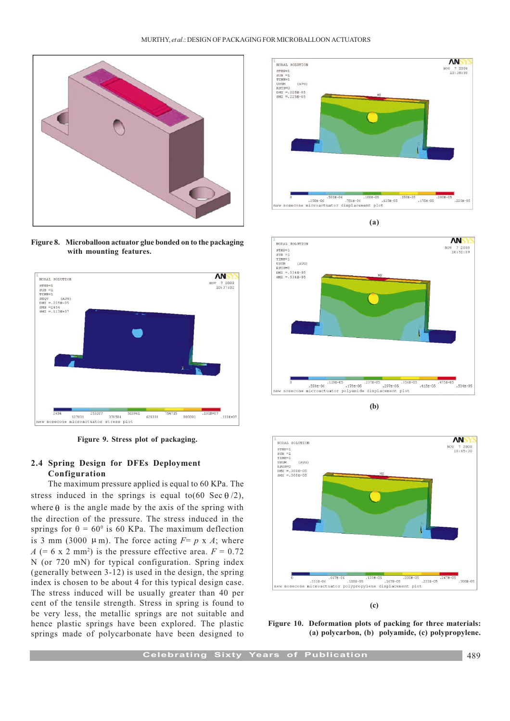

Figure 8. Microballoon actuator glue bonded on to the packaging with mounting features.



Figure 9. Stress plot of packaging.

# 2.4 Spring Design for DFEs Deployment Configuration

The maximum pressure applied is equal to 60 KPa. The stress induced in the springs is equal to  $(60 \text{ Sec } \theta/2)$ , where  $\theta$  is the angle made by the axis of the spring with the direction of the pressure. The stress induced in the springs for  $\theta = 60^{\circ}$  is 60 KPa. The maximum deflection is 3 mm (3000  $\mu$ m). The force acting  $F = p \times A$ ; where  $A$  (= 6 x 2 mm<sup>2</sup>) is the pressure effective area.  $F = 0.72$ N (or 720 mN) for typical configuration. Spring index (generally between 3-12) is used in the design, the spring index is chosen to be about 4 for this typical design case. The stress induced will be usually greater than 40 per cent of the tensile strength. Stress in spring is found to be very less, the metallic springs are not suitable and hence plastic springs have been explored. The plastic springs made of polycarbonate have been designed to



(a)



(b)



(c)

Figure 10. Deformation plots of packing for three materials: (a) polycarbon, (b) polyamide, (c) polypropylene.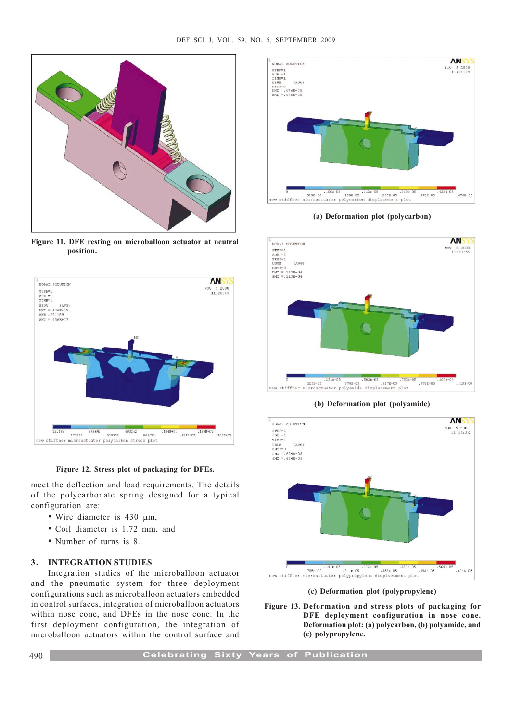

Figure 11. DFE resting on microballoon actuator at neutral position.

![](_page_5_Figure_3.jpeg)

Figure 12. Stress plot of packaging for DFEs.

meet the deflection and load requirements. The details of the polycarbonate spring designed for a typical configuration are:

- Wire diameter is 430  $\mu$ m,
- Coil diameter is 1.72 mm, and
- Number of turns is 8.

#### 3. INTEGRATION STUDIES

Integration studies of the microballoon actuator and the pneumatic system for three deployment configurations such as microballoon actuators embedded in control surfaces, integration of microballoon actuators within nose cone, and DFEs in the nose cone. In the first deployment configuration, the integration of microballoon actuators within the control surface and

![](_page_5_Figure_11.jpeg)

(a) Deformation plot (polycarbon)

![](_page_5_Figure_13.jpeg)

(b) Deformation plot (polyamide)

![](_page_5_Figure_15.jpeg)

(c) Deformation plot (polypropylene)

Figure 13. Deformation and stress plots of packaging for DFE deployment configuration in nose cone. Deformation plot: (a) polycarbon, (b) polyamide, and (c) polypropylene.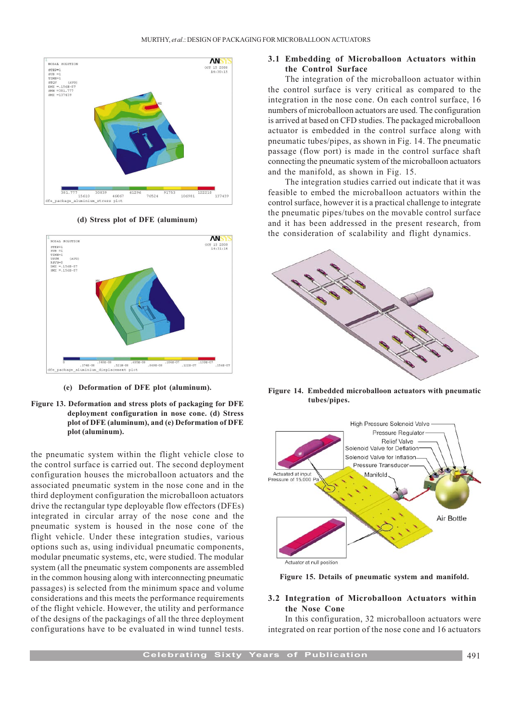![](_page_6_Figure_1.jpeg)

(d) Stress plot of DFE (aluminum)

![](_page_6_Figure_3.jpeg)

(e) Deformation of DFE plot (aluminum).

#### Figure 13. Deformation and stress plots of packaging for DFE deployment configuration in nose cone. (d) Stress plot of DFE (aluminum), and (e) Deformation of DFE plot (aluminum).

the pneumatic system within the flight vehicle close to the control surface is carried out. The second deployment configuration houses the microballoon actuators and the associated pneumatic system in the nose cone and in the third deployment configuration the microballoon actuators drive the rectangular type deployable flow effectors (DFEs) integrated in circular array of the nose cone and the pneumatic system is housed in the nose cone of the flight vehicle. Under these integration studies, various options such as, using individual pneumatic components, modular pneumatic systems, etc, were studied. The modular system (all the pneumatic system components are assembled in the common housing along with interconnecting pneumatic passages) is selected from the minimum space and volume considerations and this meets the performance requirements of the flight vehicle. However, the utility and performance of the designs of the packagings of all the three deployment configurations have to be evaluated in wind tunnel tests.

## 3.1 Embedding of Microballoon Actuators within the Control Surface

The integration of the microballoon actuator within the control surface is very critical as compared to the integration in the nose cone. On each control surface, 16 numbers of microballoon actuators are used. The configuration is arrived at based on CFD studies. The packaged microballoon actuator is embedded in the control surface along with pneumatic tubes/pipes, as shown in Fig. 14. The pneumatic passage (flow port) is made in the control surface shaft connecting the pneumatic system of the microballoon actuators and the manifold, as shown in Fig. 15.

The integration studies carried out indicate that it was feasible to embed the microballoon actuators within the control surface, however it is a practical challenge to integrate the pneumatic pipes/tubes on the movable control surface and it has been addressed in the present research, from the consideration of scalability and flight dynamics.

![](_page_6_Picture_10.jpeg)

Figure 14. Embedded microballoon actuators with pneumatic tubes/pipes.

![](_page_6_Figure_12.jpeg)

Figure 15. Details of pneumatic system and manifold.

# 3.2 Integration of Microballoon Actuators within the Nose Cone

In this configuration, 32 microballoon actuators were integrated on rear portion of the nose cone and 16 actuators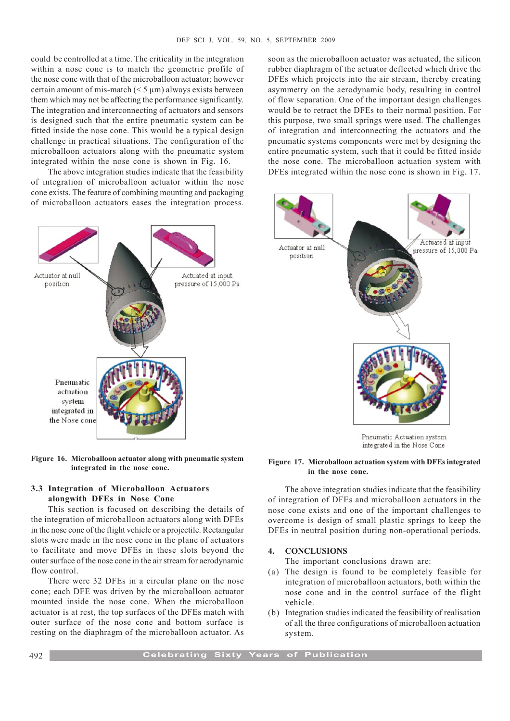could be controlled at a time. The criticality in the integration within a nose cone is to match the geometric profile of the nose cone with that of the microballoon actuator; however certain amount of mis-match  $(< 5 \mu m)$  always exists between them which may not be affecting the performance significantly. The integration and interconnecting of actuators and sensors is designed such that the entire pneumatic system can be fitted inside the nose cone. This would be a typical design challenge in practical situations. The configuration of the microballoon actuators along with the pneumatic system integrated within the nose cone is shown in Fig. 16.

The above integration studies indicate that the feasibility of integration of microballoon actuator within the nose cone exists. The feature of combining mounting and packaging of microballoon actuators eases the integration process.

![](_page_7_Figure_3.jpeg)

#### Figure 16. Microballoon actuator along with pneumatic system integrated in the nose cone.

# 3.3 Integration of Microballoon Actuators alongwith DFEs in Nose Cone

This section is focused on describing the details of the integration of microballoon actuators along with DFEs in the nose cone of the flight vehicle or a projectile. Rectangular slots were made in the nose cone in the plane of actuators to facilitate and move DFEs in these slots beyond the outer surface of the nose cone in the air stream for aerodynamic flow control.

There were 32 DFEs in a circular plane on the nose cone; each DFE was driven by the microballoon actuator mounted inside the nose cone. When the microballoon actuator is at rest, the top surfaces of the DFEs match with outer surface of the nose cone and bottom surface is resting on the diaphragm of the microballoon actuator. As soon as the microballoon actuator was actuated, the silicon rubber diaphragm of the actuator deflected which drive the DFEs which projects into the air stream, thereby creating asymmetry on the aerodynamic body, resulting in control of flow separation. One of the important design challenges would be to retract the DFEs to their normal position. For this purpose, two small springs were used. The challenges of integration and interconnecting the actuators and the pneumatic systems components were met by designing the entire pneumatic system, such that it could be fitted inside the nose cone. The microballoon actuation system with DFEs integrated within the nose cone is shown in Fig. 17.

![](_page_7_Picture_9.jpeg)

Pneumatic Actuation system integrated in the Nose Cone

#### Figure 17. Microballoon actuation system with DFEs integrated in the nose cone.

The above integration studies indicate that the feasibility of integration of DFEs and microballoon actuators in the nose cone exists and one of the important challenges to overcome is design of small plastic springs to keep the DFEs in neutral position during non-operational periods.

## 4. CONCLUSIONS

The important conclusions drawn are:

- (a) The design is found to be completely feasible for integration of microballoon actuators, both within the nose cone and in the control surface of the flight vehicle.
- (b) Integration studies indicated the feasibility of realisation of all the three configurations of microballoon actuation system.